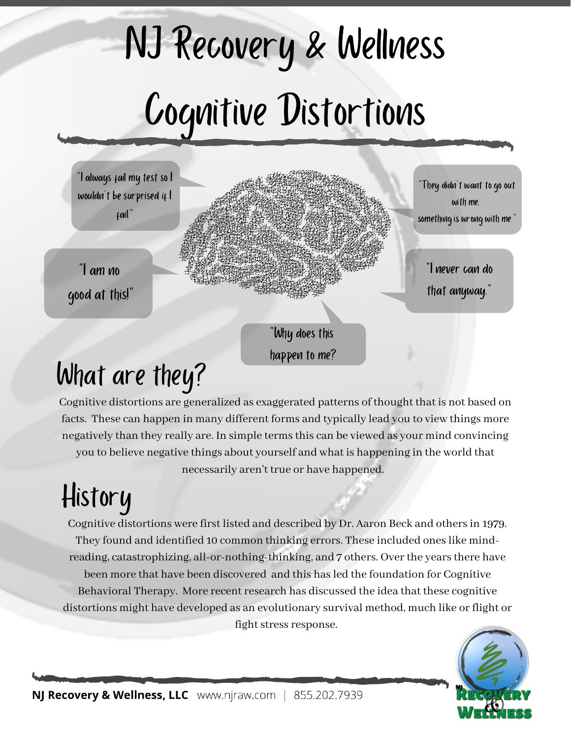# NJ Recovery & Wellness Cognitive Distortions



"Why does this happen to me?

# What are they?

Cognitive distortions are generalized as exaggerated patterns of thought that is not based on facts. These can happen in many different forms and typically lead you to view things more negatively than they really are. In simple termsthis can be viewed as your mind convincing you to believe negative things about yourself and what is happening in the world that necessarily aren't true or have happened.

# History

Cognitive distortions were first listed and described by Dr. Aaron Beck and othersin 1979. They found and identified 10 common thinking errors. These included oneslike mindreading, catastrophizing, all-or-nothing-thinking, and 7 others. Over the years there have been more that have been discovered and this has led the foundation for Cognitive Behavioral Therapy. More recent research has discussed the idea that these cognitive distortions might have developed as an evolutionary survival method, much like orflight or fight stress response.

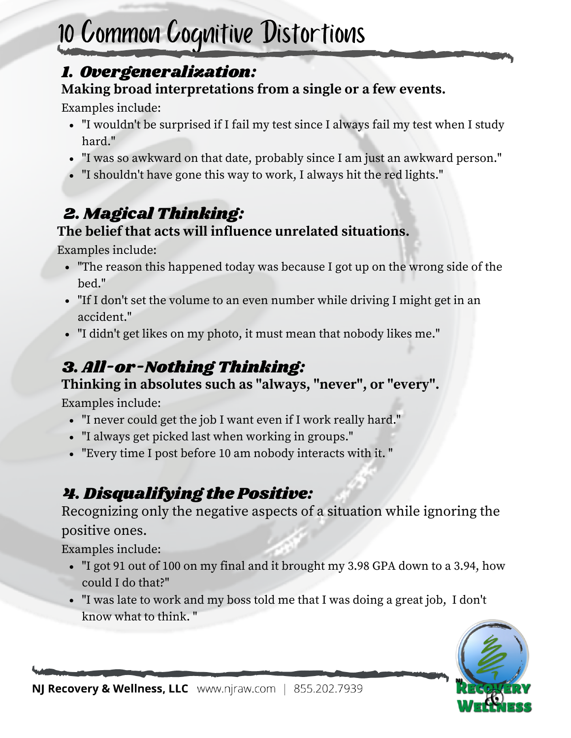# 10 Common Cognitive Distortions

#### 1. Overgeneralization:

#### **Making broad interpretations from a single or a few events.**

Examples include:

- "I wouldn't be surprised if I fail my test since I always fail my test when I study hard."
- "I was so awkward on that date, probably since I am just an awkward person."
- "I shouldn't have gone this way to work, I always hit the red lights."

# 2. Magical Thinking:

#### **The belief that acts will influence unrelated situations.**

Examples include:

- "The reason this happened today was because I got up on the wrong side of the bed."
- "If I don't set the volume to an even number while driving I might get in an accident."
- "I didn't get likes on my photo, it must mean that nobody likes me."

## 3. All-or-Nothing Thinking:

#### **Thinking in absolutes such as "always, "never" , or "every".**

Examples include:

- "I never could get the job I want even if I work really hard."
- "I always get picked last when working in groups."
- "Every time I post before 10 am nobody interacts with it. "

# 4. Disqualifying the Positive:

Recognizing only the negative aspects of a situation while ignoring the positive ones.

Examples include:

- "I got 91 out of 100 on my final and it brought my 3.98 GPA down to a 3.94, how could I do that?"
- "I was late to work and my boss told me that I was doing a great job, I don't know what to think. "

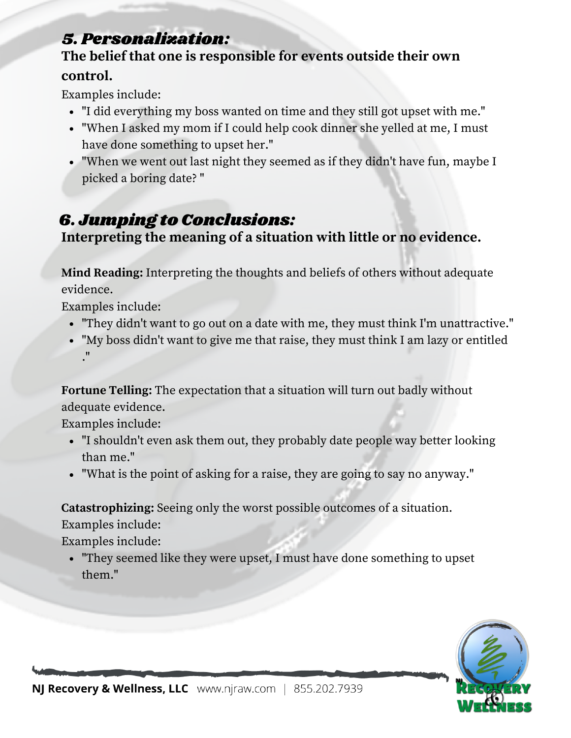#### 5. Personalization:

#### **The belief that one is responsible for events outside their own control.**

Examples include:

- "I did everything my boss wanted on time and they still got upset with me."
- "When I asked my mom if I could help cook dinner she yelled at me, I must have done something to upset her."
- "When we went out last night they seemed as if they didn't have fun, maybe I picked a boring date? "

### 6. Jumping to Conclusions:

**Interpreting the meaning of a situation with little or no evidence.**

**Mind Reading:** Interpreting the thoughts and beliefs of others without adequate evidence.

Examples include:

- "They didn't want to go out on a date with me, they must think I'm unattractive."
- "My boss didn't want to give me that raise, they must think I am lazy or entitled ."

**Fortune Telling:** The expectation that a situation will turn out badly without adequate evidence.

Examples include:

- "I shouldn't even ask them out, they probably date people way better looking than me."
- "What is the point of asking for a raise, they are going to say no anyway."

**Catastrophizing:** Seeing only the worst possible outcomes of a situation.

Examples include:

Examples include:

"They seemed like they were upset, I must have done something to upset them."